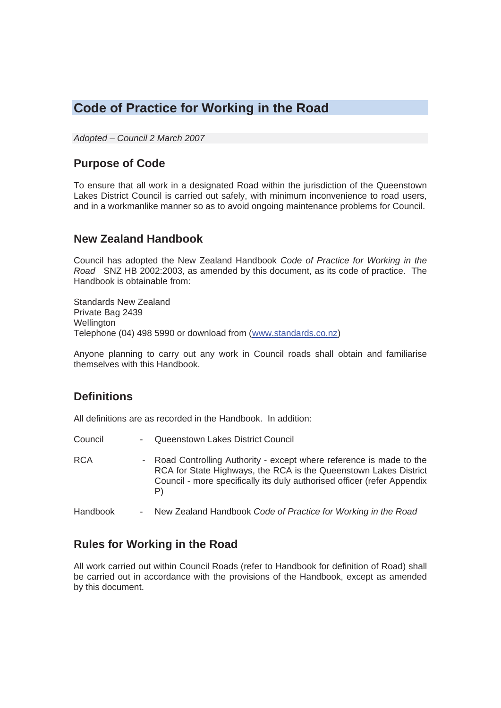# **Code of Practice for Working in the Road**

*Adopted – Council 2 March 2007* 

### **Purpose of Code**

To ensure that all work in a designated Road within the jurisdiction of the Queenstown Lakes District Council is carried out safely, with minimum inconvenience to road users, and in a workmanlike manner so as to avoid ongoing maintenance problems for Council.

## **New Zealand Handbook**

Council has adopted the New Zealand Handbook *Code of Practice for Working in the Road* SNZ HB 2002:2003, as amended by this document, as its code of practice. The Handbook is obtainable from:

Standards New Zealand Private Bag 2439 **Wellington** Telephone (04) 498 5990 or download from (www.standards.co.nz)

Anyone planning to carry out any work in Council roads shall obtain and familiarise themselves with this Handbook.

## **Definitions**

All definitions are as recorded in the Handbook. In addition:

- Council Queenstown Lakes District Council
- RCA Road Controlling Authority except where reference is made to the RCA for State Highways, the RCA is the Queenstown Lakes District Council - more specifically its duly authorised officer (refer Appendix P)

Handbook - New Zealand Handbook *Code of Practice for Working in the Road* 

## **Rules for Working in the Road**

All work carried out within Council Roads (refer to Handbook for definition of Road) shall be carried out in accordance with the provisions of the Handbook, except as amended by this document.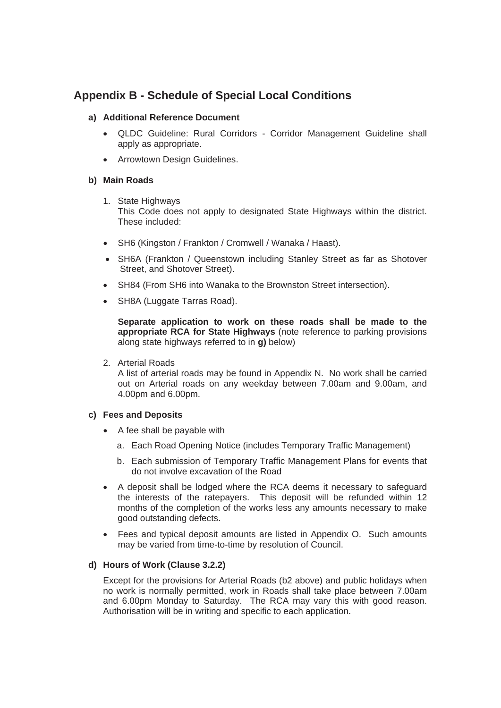# **Appendix B - Schedule of Special Local Conditions**

#### **a) Additional Reference Document**

- QLDC Guideline: Rural Corridors Corridor Management Guideline shall apply as appropriate.
- Arrowtown Design Guidelines.

#### **b) Main Roads**

- 1. State Highways This Code does not apply to designated State Highways within the district. These included:
- SH6 (Kingston / Frankton / Cromwell / Wanaka / Haast).
- SH6A (Frankton / Queenstown including Stanley Street as far as Shotover Street, and Shotover Street).
- SH84 (From SH6 into Wanaka to the Brownston Street intersection).
- SH8A (Luggate Tarras Road).

 **Separate application to work on these roads shall be made to the appropriate RCA for State Highways** (note reference to parking provisions along state highways referred to in **g)** below)

2. Arterial Roads

 A list of arterial roads may be found in Appendix N. No work shall be carried out on Arterial roads on any weekday between 7.00am and 9.00am, and 4.00pm and 6.00pm.

#### **c) Fees and Deposits**

- $\bullet$  A fee shall be payable with
	- a. Each Road Opening Notice (includes Temporary Traffic Management)
	- b. Each submission of Temporary Traffic Management Plans for events that do not involve excavation of the Road
- A deposit shall be lodged where the RCA deems it necessary to safeguard the interests of the ratepayers. This deposit will be refunded within 12 months of the completion of the works less any amounts necessary to make good outstanding defects.
- Fees and typical deposit amounts are listed in Appendix O. Such amounts may be varied from time-to-time by resolution of Council.

#### **d) Hours of Work (Clause 3.2.2)**

Except for the provisions for Arterial Roads (b2 above) and public holidays when no work is normally permitted, work in Roads shall take place between 7.00am and 6.00pm Monday to Saturday. The RCA may vary this with good reason. Authorisation will be in writing and specific to each application.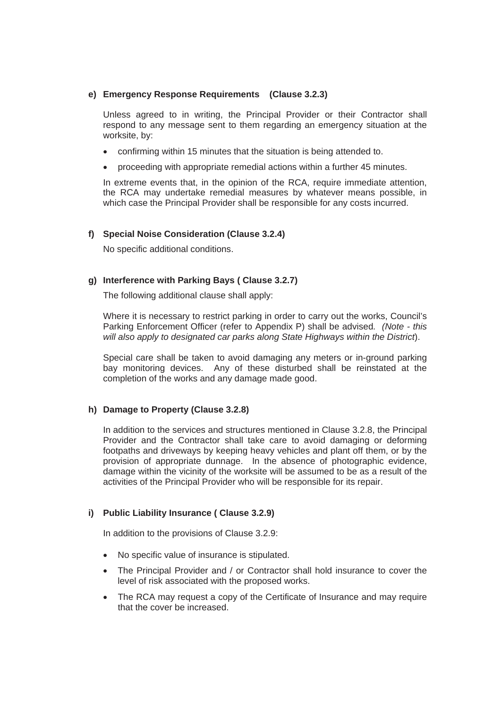#### **e) Emergency Response Requirements (Clause 3.2.3)**

Unless agreed to in writing, the Principal Provider or their Contractor shall respond to any message sent to them regarding an emergency situation at the worksite, by:

- confirming within 15 minutes that the situation is being attended to.
- proceeding with appropriate remedial actions within a further 45 minutes.

In extreme events that, in the opinion of the RCA, require immediate attention, the RCA may undertake remedial measures by whatever means possible, in which case the Principal Provider shall be responsible for any costs incurred.

#### **f) Special Noise Consideration (Clause 3.2.4)**

No specific additional conditions.

#### **g) Interference with Parking Bays ( Clause 3.2.7)**

The following additional clause shall apply:

Where it is necessary to restrict parking in order to carry out the works, Council's Parking Enforcement Officer (refer to Appendix P) shall be advised*. (Note - this will also apply to designated car parks along State Highways within the District*).

Special care shall be taken to avoid damaging any meters or in-ground parking bay monitoring devices. Any of these disturbed shall be reinstated at the completion of the works and any damage made good.

#### **h) Damage to Property (Clause 3.2.8)**

In addition to the services and structures mentioned in Clause 3.2.8, the Principal Provider and the Contractor shall take care to avoid damaging or deforming footpaths and driveways by keeping heavy vehicles and plant off them, or by the provision of appropriate dunnage. In the absence of photographic evidence, damage within the vicinity of the worksite will be assumed to be as a result of the activities of the Principal Provider who will be responsible for its repair.

#### **i) Public Liability Insurance ( Clause 3.2.9)**

In addition to the provisions of Clause 3.2.9:

- No specific value of insurance is stipulated.
- The Principal Provider and / or Contractor shall hold insurance to cover the level of risk associated with the proposed works.
- The RCA may request a copy of the Certificate of Insurance and may require that the cover be increased.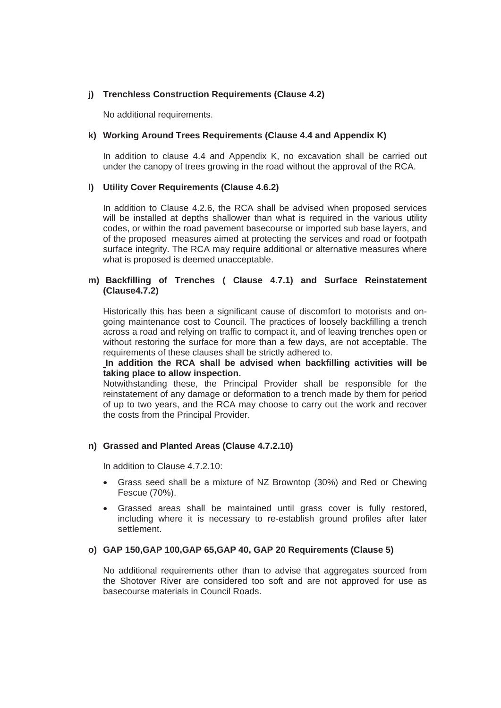#### **j) Trenchless Construction Requirements (Clause 4.2)**

No additional requirements.

#### **k) Working Around Trees Requirements (Clause 4.4 and Appendix K)**

In addition to clause 4.4 and Appendix K, no excavation shall be carried out under the canopy of trees growing in the road without the approval of the RCA.

#### **l) Utility Cover Requirements (Clause 4.6.2)**

In addition to Clause 4.2.6, the RCA shall be advised when proposed services will be installed at depths shallower than what is required in the various utility codes, or within the road pavement basecourse or imported sub base layers, and of the proposed measures aimed at protecting the services and road or footpath surface integrity. The RCA may require additional or alternative measures where what is proposed is deemed unacceptable.

#### **m) Backfilling of Trenches ( Clause 4.7.1) and Surface Reinstatement (Clause4.7.2)**

Historically this has been a significant cause of discomfort to motorists and ongoing maintenance cost to Council. The practices of loosely backfilling a trench across a road and relying on traffic to compact it, and of leaving trenches open or without restoring the surface for more than a few days, are not acceptable. The requirements of these clauses shall be strictly adhered to.

#### **In addition the RCA shall be advised when backfilling activities will be taking place to allow inspection.**

Notwithstanding these, the Principal Provider shall be responsible for the reinstatement of any damage or deformation to a trench made by them for period of up to two years, and the RCA may choose to carry out the work and recover the costs from the Principal Provider.

#### **n) Grassed and Planted Areas (Clause 4.7.2.10)**

In addition to Clause 4.7.2.10:

- Grass seed shall be a mixture of NZ Browntop (30%) and Red or Chewing Fescue (70%).
- Grassed areas shall be maintained until grass cover is fully restored, including where it is necessary to re-establish ground profiles after later settlement.

#### **o) GAP 150,GAP 100,GAP 65,GAP 40, GAP 20 Requirements (Clause 5)**

No additional requirements other than to advise that aggregates sourced from the Shotover River are considered too soft and are not approved for use as basecourse materials in Council Roads.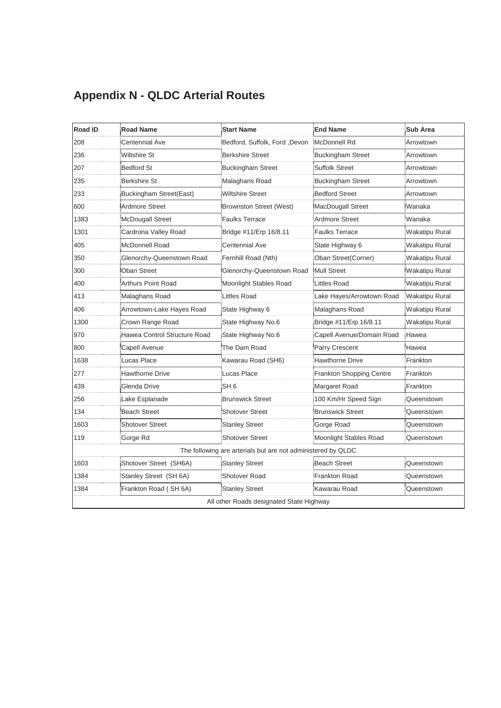# **Appendix N - QLDC Arterial Routes**

| <b>Road ID</b>                                               | <b>Road Name</b>             | <b>Start Name</b>             | <b>End Name</b>                 | Sub Area              |  |  |  |  |
|--------------------------------------------------------------|------------------------------|-------------------------------|---------------------------------|-----------------------|--|--|--|--|
| 208                                                          | <b>Centennial Ave</b>        | Bedford, Suffolk, Ford, Devon | McDonnell Rd                    | Arrowtown             |  |  |  |  |
| 236                                                          | Wiltshire St                 | <b>Berkshire Street</b>       | <b>Buckingham Street</b>        | Arrowtown             |  |  |  |  |
| 207                                                          | <b>Bedford St</b>            | <b>Buckingham Street</b>      | <b>Suffolk Street</b>           | Arrowtown             |  |  |  |  |
| 235                                                          | <b>Berkshire St</b>          | Malaghans Road                | <b>Buckingham Street</b>        | Arrowtown             |  |  |  |  |
| 233                                                          | Buckingham Street(East)      | Wiltshire Street              | <b>Bedford Street</b>           | Arrowtown             |  |  |  |  |
| 600                                                          | Ardmore Street               | Brownston Street (West)       | MacDougall Street               | Wanaka                |  |  |  |  |
| 1383                                                         | <b>McDougall Street</b>      | <b>Faulks Terrace</b>         | <b>Ardmore Street</b>           | Wanaka                |  |  |  |  |
| 1301                                                         | Cardrona Valley Road         | Bridge #11/Erp 16/8.11        | <b>Faulks Terrace</b>           | <b>Wakatipu Rural</b> |  |  |  |  |
| 405                                                          | <b>McDonnell Road</b>        | Centennial Ave                | State Highway 6                 | Wakatipu Rural        |  |  |  |  |
| 350                                                          | Glenorchy-Queenstown Road    | Fernhill Road (Nth)           | Oban Street(Corner)             | Wakatipu Rural        |  |  |  |  |
| 300                                                          | <b>Oban Street</b>           | Glenorchy-Queenstown Road     | Mull Street                     | Wakatipu Rural        |  |  |  |  |
| 400                                                          | <b>Arthurs Point Road</b>    | Moonlight Stables Road        | <b>Littles Road</b>             | Wakatipu Rural        |  |  |  |  |
| 413                                                          | Malaghans Road               | <b>Littles Road</b>           | Lake Hayes/Arrowtown Road       | <b>Wakatipu Rural</b> |  |  |  |  |
| 406                                                          | Arrowtown-Lake Hayes Road    | State Highway 6               | Malaghans Road                  | Wakatipu Rural        |  |  |  |  |
| 1300                                                         | Crown Range Road             | State Highway No.6            | Bridge #11/Erp 16/8.11          | Wakatipu Rural        |  |  |  |  |
| 970                                                          | Hawea Control Structure Road | State Highway No.6            | Capell Avenue/Domain Road       | Hawea                 |  |  |  |  |
| 800                                                          | Capell Avenue                | The Dam Road                  | Parry Crescent                  | Hawea                 |  |  |  |  |
| 1638                                                         | Lucas Place                  | Kawarau Road (SH6)            | <b>Hawthorne Drive</b>          | Frankton              |  |  |  |  |
| 277                                                          | <b>Hawthorne Drive</b>       | Lucas Place                   | <b>Frankton Shopping Centre</b> | Frankton              |  |  |  |  |
| 439                                                          | Glenda Drive                 | SH 6                          | Margaret Road                   | Frankton              |  |  |  |  |
| 256                                                          | Lake Esplanade               | <b>Brunswick Street</b>       | 100 Km/Hr Speed Sign            | Queenstown            |  |  |  |  |
| 134                                                          | <b>Beach Street</b>          | <b>Shotover Street</b>        | <b>Brunswick Street</b>         | Queenstown            |  |  |  |  |
| 1603                                                         | <b>Shotover Street</b>       | <b>Stanley Street</b>         | Gorge Road                      | Queenstown            |  |  |  |  |
| 119                                                          | Gorge Rd                     | <b>Shotover Street</b>        | Moonlight Stables Road          | Queenstown            |  |  |  |  |
| The following are arterials but are not administered by QLDC |                              |                               |                                 |                       |  |  |  |  |
| 1603                                                         | Shotover Street (SH6A)       | Stanley Street                | <b>Beach Street</b>             | Queenstown            |  |  |  |  |
| 1384                                                         | Stanley Street (SH 6A)       | Shotover Road                 | Frankton Road                   | Queenstown            |  |  |  |  |
| 1384                                                         | Frankton Road (SH 6A)        | <b>Stanley Street</b>         | Kawarau Road                    | Queenstown            |  |  |  |  |
| All other Roads designated State Highway                     |                              |                               |                                 |                       |  |  |  |  |